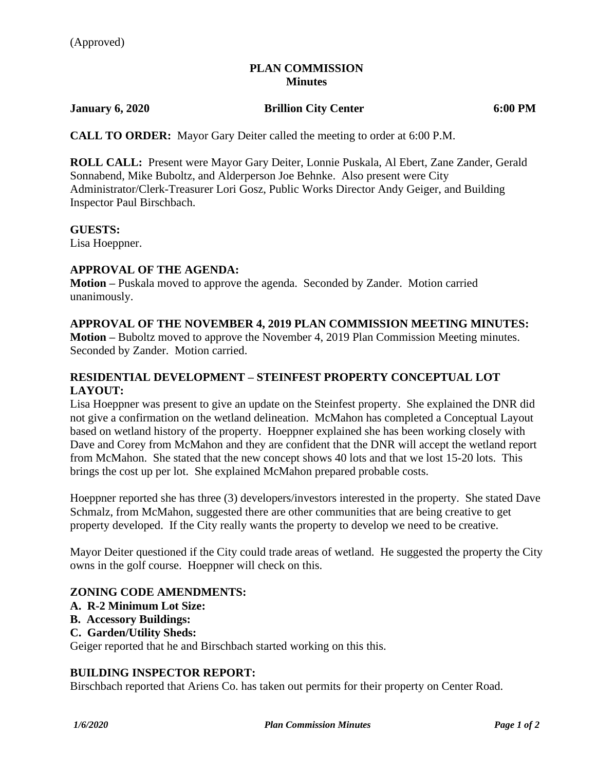# **PLAN COMMISSION Minutes**

#### **January 6, 2020 Brillion City Center 6:00 PM**

**CALL TO ORDER:** Mayor Gary Deiter called the meeting to order at 6:00 P.M.

**ROLL CALL:** Present were Mayor Gary Deiter, Lonnie Puskala, Al Ebert, Zane Zander, Gerald Sonnabend, Mike Buboltz, and Alderperson Joe Behnke. Also present were City Administrator/Clerk-Treasurer Lori Gosz, Public Works Director Andy Geiger, and Building Inspector Paul Birschbach.

#### **GUESTS:**

Lisa Hoeppner.

## **APPROVAL OF THE AGENDA:**

**Motion –** Puskala moved to approve the agenda. Seconded by Zander. Motion carried unanimously.

#### **APPROVAL OF THE NOVEMBER 4, 2019 PLAN COMMISSION MEETING MINUTES:**

**Motion –** Buboltz moved to approve the November 4, 2019 Plan Commission Meeting minutes. Seconded by Zander. Motion carried.

# **RESIDENTIAL DEVELOPMENT – STEINFEST PROPERTY CONCEPTUAL LOT LAYOUT:**

Lisa Hoeppner was present to give an update on the Steinfest property. She explained the DNR did not give a confirmation on the wetland delineation. McMahon has completed a Conceptual Layout based on wetland history of the property. Hoeppner explained she has been working closely with Dave and Corey from McMahon and they are confident that the DNR will accept the wetland report from McMahon. She stated that the new concept shows 40 lots and that we lost 15-20 lots. This brings the cost up per lot. She explained McMahon prepared probable costs.

Hoeppner reported she has three (3) developers/investors interested in the property. She stated Dave Schmalz, from McMahon, suggested there are other communities that are being creative to get property developed. If the City really wants the property to develop we need to be creative.

Mayor Deiter questioned if the City could trade areas of wetland. He suggested the property the City owns in the golf course. Hoeppner will check on this.

#### **ZONING CODE AMENDMENTS:**

#### **A. R-2 Minimum Lot Size:**

#### **B. Accessory Buildings:**

**C. Garden/Utility Sheds:**

Geiger reported that he and Birschbach started working on this this.

#### **BUILDING INSPECTOR REPORT:**

Birschbach reported that Ariens Co. has taken out permits for their property on Center Road.